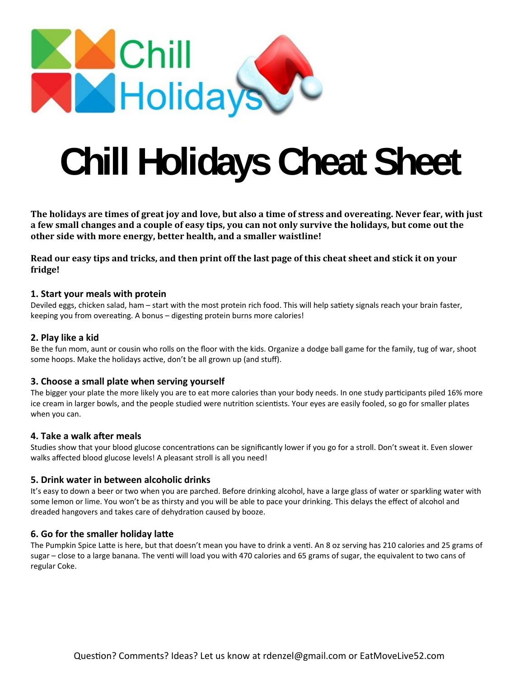

# **Chill Holidays Cheat Sheet**

The holidays are times of great joy and love, but also a time of stress and overeating. Never fear, with just a few small changes and a couple of easy tips, you can not only survive the holidays, but come out the **other side with more energy, better health, and a smaller waistline!**

Read our easy tips and tricks, and then print off the last page of this cheat sheet and stick it on your **fridge!**

#### **1. Start your meals with protein**

Deviled eggs, chicken salad, ham - start with the most protein rich food. This will help satiety signals reach your brain faster, keeping you from overeating. A bonus – digesting protein burns more calories!

#### **2. Play like a kid**

Be the fun mom, aunt or cousin who rolls on the floor with the kids. Organize a dodge ball game for the family, tug of war, shoot some hoops. Make the holidays active, don't be all grown up (and stuff).

#### **3. Choose a small plate when serving yourself**

The bigger your plate the more likely you are to eat more calories than your body needs. In one study participants piled 16% more ice cream in larger bowls, and the people studied were nutrition scientists. Your eyes are easily fooled, so go for smaller plates when you can.

#### **4. Take a walk after meals**

Studies show that your blood glucose concentrations can be significantly lower if you go for a stroll. Don't sweat it. Even slower walks affected blood glucose levels! A pleasant stroll is all you need!

#### **5. Drink water in between alcoholic drinks**

It's easy to down a beer or two when you are parched. Before drinking alcohol, have a large glass of water or sparkling water with some lemon or lime. You won't be as thirsty and you will be able to pace your drinking. This delays the effect of alcohol and dreaded hangovers and takes care of dehydration caused by booze.

#### **6. Go for the smaller holiday laƩe**

The Pumpkin Spice Latte is here, but that doesn't mean you have to drink a venti. An 8 oz serving has 210 calories and 25 grams of sugar – close to a large banana. The venti will load you with 470 calories and 65 grams of sugar, the equivalent to two cans of regular Coke.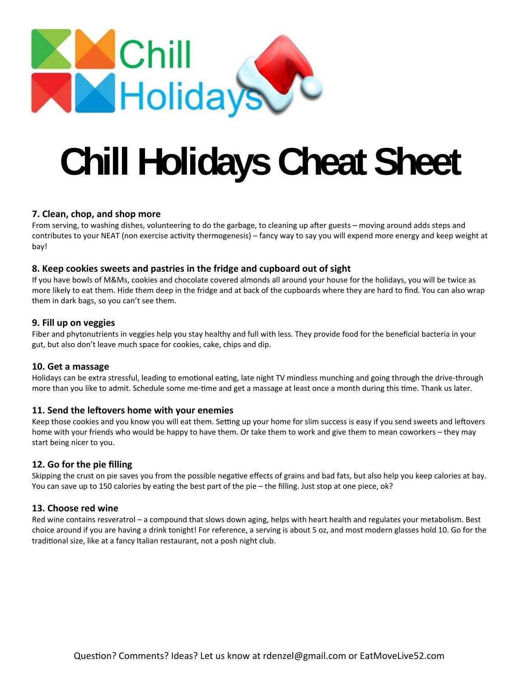

# **Chill Holidays Cheat Sheet**

### **7. Clean, chop, and shop more**

From serving, to washing dishes, volunteering to do the garbage, to cleaning up after guests – moving around adds steps and contributes to your NEAT (non exercise activity thermogenesis) – fancy way to say you will expend more energy and keep weight at bay!

### **8. Keep cookies sweets and pastries in the fridge and cupboard out of sight**

If you have bowls of M&Ms, cookies and chocolate covered almonds all around your house for the holidays, you will be twice as more likely to eat them. Hide them deep in the fridge and at back of the cupboards where they are hard to find. You can also wrap them in dark bags, so you can't see them.

#### **9. Fill up on veggies**

Fiber and phytonutrients in veggies help you stay healthy and full with less. They provide food for the beneficial bacteria in your gut, but also don't leave much space for cookies, cake, chips and dip.

#### **10. Get a massage**

Holidays can be extra stressful, leading to emotional eating, late night TV mindless munching and going through the drive-through more than you like to admit. Schedule some me-time and get a massage at least once a month during this time. Thank us later.

#### **11. Send the leftovers home with your enemies**

Keep those cookies and you know you will eat them. Setting up your home for slim success is easy if you send sweets and leftovers home with your friends who would be happy to have them. Or take them to work and give them to mean coworkers – they may start being nicer to you.

#### **12. Go for the pie filling**

Skipping the crust on pie saves you from the possible negative effects of grains and bad fats, but also help you keep calories at bay. You can save up to 150 calories by eating the best part of the pie – the filling. Just stop at one piece, ok?

#### **13. Choose red wine**

Red wine contains resveratrol – a compound that slows down aging, helps with heart health and regulates your metabolism. Best choice around if you are having a drink tonight! For reference, a serving is about 5 oz, and most modern glasses hold 10. Go for the traditional size, like at a fancy Italian restaurant, not a posh night club.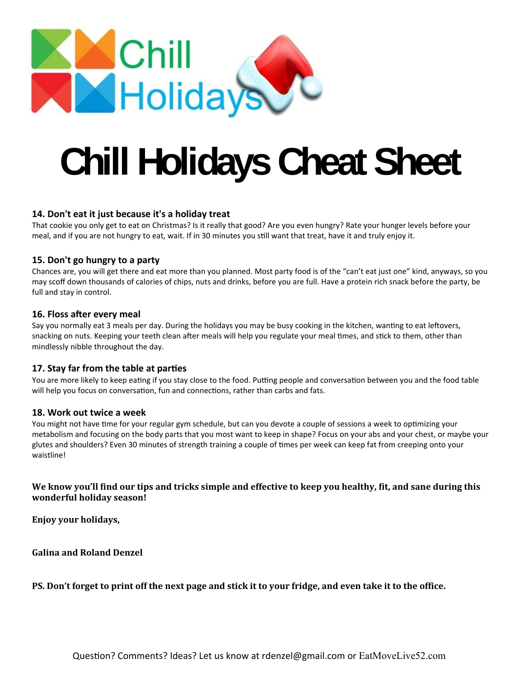

# **Chill Holidays Cheat Sheet**

# **14. Don't eat it just because it's a holiday treat**

That cookie you only get to eat on Christmas? Is it really that good? Are you even hungry? Rate your hunger levels before your meal, and if you are not hungry to eat, wait. If in 30 minutes you still want that treat, have it and truly enjoy it.

# **15. Don't go hungry to a party**

Chances are, you will get there and eat more than you planned. Most party food is of the "can't eat just one" kind, anyways, so you may scoff down thousands of calories of chips, nuts and drinks, before you are full. Have a protein rich snack before the party, be full and stay in control.

### **16. Floss after every meal**

Say you normally eat 3 meals per day. During the holidays you may be busy cooking in the kitchen, wanting to eat leftovers, snacking on nuts. Keeping your teeth clean after meals will help you regulate your meal times, and stick to them, other than mindlessly nibble throughout the day.

# **17. Stay far from the table at parƟes**

You are more likely to keep eating if you stay close to the food. Putting people and conversation between you and the food table will help you focus on conversation, fun and connections, rather than carbs and fats.

#### **18. Work out twice a week**

You might not have time for your regular gym schedule, but can you devote a couple of sessions a week to optimizing your metabolism and focusing on the body parts that you most want to keep in shape? Focus on your abs and your chest, or maybe your glutes and shoulders? Even 30 minutes of strength training a couple of times per week can keep fat from creeping onto your waistline!

### We know you'll find our tips and tricks simple and effective to keep you healthy, fit, and sane during this **wonderful holiday season!**

**Enjoy your holidays,**

**Galina and Roland Denzel**

# PS. Don't forget to print off the next page and stick it to your fridge, and even take it to the office.